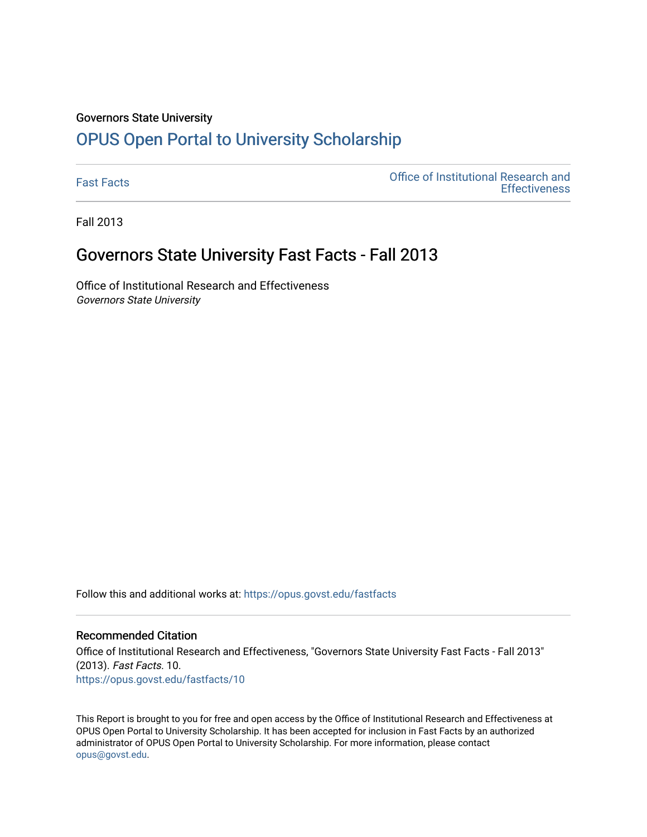#### Governors State University

## [OPUS Open Portal to University Scholarship](https://opus.govst.edu/)

[Fast Facts](https://opus.govst.edu/fastfacts) [Office of Institutional Research and](https://opus.govst.edu/ir)  **Effectiveness** 

Fall 2013

### Governors State University Fast Facts - Fall 2013

Office of Institutional Research and Effectiveness Governors State University

Follow this and additional works at: [https://opus.govst.edu/fastfacts](https://opus.govst.edu/fastfacts?utm_source=opus.govst.edu%2Ffastfacts%2F10&utm_medium=PDF&utm_campaign=PDFCoverPages)

#### Recommended Citation

Office of Institutional Research and Effectiveness, "Governors State University Fast Facts - Fall 2013" (2013). Fast Facts. 10. [https://opus.govst.edu/fastfacts/10](https://opus.govst.edu/fastfacts/10?utm_source=opus.govst.edu%2Ffastfacts%2F10&utm_medium=PDF&utm_campaign=PDFCoverPages) 

This Report is brought to you for free and open access by the Office of Institutional Research and Effectiveness at OPUS Open Portal to University Scholarship. It has been accepted for inclusion in Fast Facts by an authorized administrator of OPUS Open Portal to University Scholarship. For more information, please contact [opus@govst.edu](mailto:opus@govst.edu).